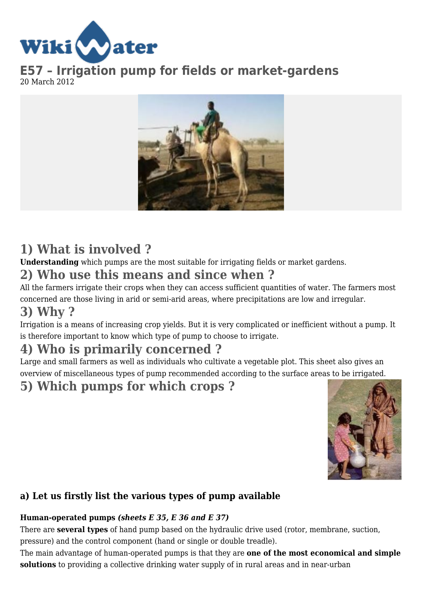

**E57 – Irrigation pump for fields or market-gardens** 20 March 2012



# **1) What is involved ?**

**Understanding** which pumps are the most suitable for irrigating fields or market gardens.

## **2) Who use this means and since when ?**

All the farmers irrigate their crops when they can access sufficient quantities of water. The farmers most concerned are those living in arid or semi-arid areas, where precipitations are low and irregular.

## **3) Why ?**

Irrigation is a means of increasing crop yields. But it is very complicated or inefficient without a pump. It is therefore important to know which type of pump to choose to irrigate.

## **4) Who is primarily concerned ?**

Large and small farmers as well as individuals who cultivate a vegetable plot. This sheet also gives an overview of miscellaneous types of pump recommended according to the surface areas to be irrigated.

## **5) Which pumps for which crops ?**



### **a) Let us firstly list the various types of pump available**

#### **Human-operated pumps** *(sheets E 35, E 36 and E 37)*

There are **several types** of hand pump based on the hydraulic drive used (rotor, membrane, suction, pressure) and the control component (hand or single or double treadle).

The main advantage of human-operated pumps is that they are **one of the most economical and simple solutions** to providing a collective drinking water supply of in rural areas and in near-urban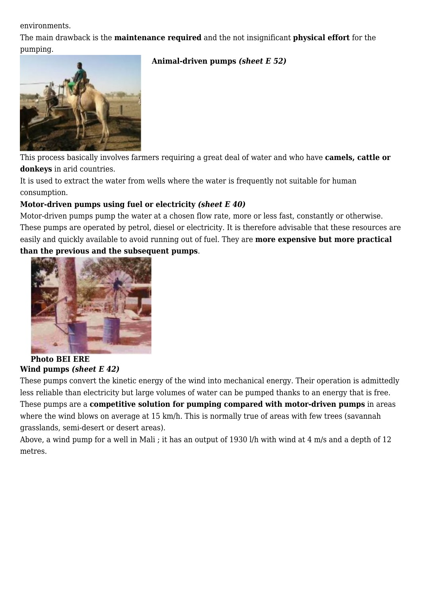environments.

The main drawback is the **maintenance required** and the not insignificant **physical effort** for the pumping.

#### **Animal-driven pumps** *(sheet E 52)*



This process basically involves farmers requiring a great deal of water and who have **camels, cattle or donkeys** in arid countries.

It is used to extract the water from wells where the water is frequently not suitable for human consumption.

#### **Motor-driven pumps using fuel or electricity** *(sheet E 40)*

Motor-driven pumps pump the water at a chosen flow rate, more or less fast, constantly or otherwise. These pumps are operated by petrol, diesel or electricity. It is therefore advisable that these resources are easily and quickly available to avoid running out of fuel. They are **more expensive but more practical than the previous and the subsequent pumps**.



**Photo BEI ERE Wind pumps** *(sheet E 42)*

These pumps convert the kinetic energy of the wind into mechanical energy. Their operation is admittedly less reliable than electricity but large volumes of water can be pumped thanks to an energy that is free. These pumps are a **competitive solution for pumping compared with motor-driven pumps** in areas where the wind blows on average at 15 km/h. This is normally true of areas with few trees (savannah grasslands, semi-desert or desert areas).

Above, a wind pump for a well in Mali ; it has an output of 1930 l/h with wind at 4 m/s and a depth of 12 metres.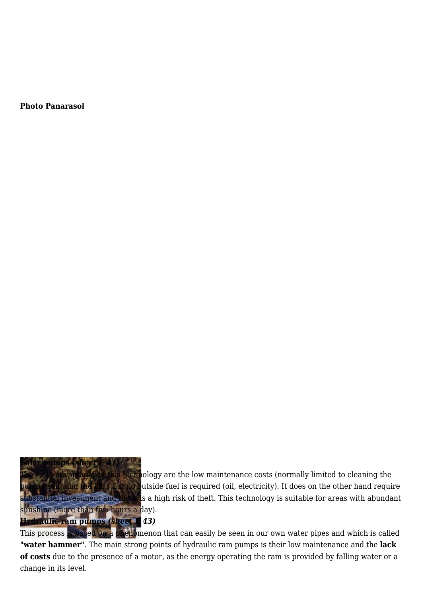**Photo Panarasol**

**Solar pumps** *(sheet E 41)* technology are the low maintenance costs (normally limited to cleaning the hat no outside fuel is required (oil, electricity). It does on the other hand require ubstantial investment and there is a high risk of theft. This technology is suitable for areas with abundant sunshine (more than five hours a day). **Hydraulic ram pumps** *(sheet E 43)*

This process is based on a phenomenon that can easily be seen in our own water pipes and which is called **"water hammer"**. The main strong points of hydraulic ram pumps is their low maintenance and the **lack of costs** due to the presence of a motor, as the energy operating the ram is provided by falling water or a change in its level.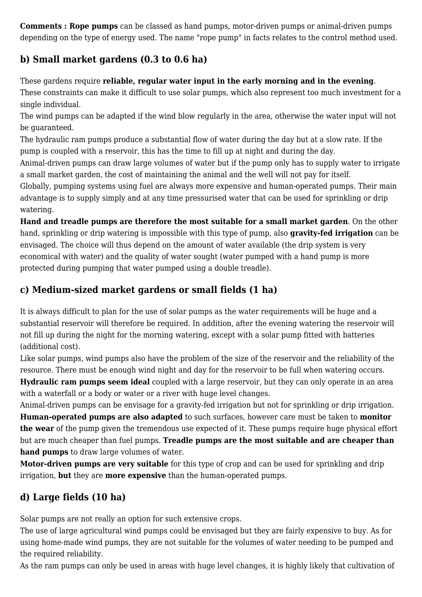**Comments : Rope pumps** can be classed as hand pumps, motor-driven pumps or animal-driven pumps depending on the type of energy used. The name "rope pump" in facts relates to the control method used.

### **b) Small market gardens (0.3 to 0.6 ha)**

These gardens require **reliable, regular water input in the early morning and in the evening**. These constraints can make it difficult to use solar pumps, which also represent too much investment for a single individual.

The wind pumps can be adapted if the wind blow regularly in the area, otherwise the water input will not be guaranteed.

The hydraulic ram pumps produce a substantial flow of water during the day but at a slow rate. If the pump is coupled with a reservoir, this has the time to fill up at night and during the day.

Animal-driven pumps can draw large volumes of water but if the pump only has to supply water to irrigate a small market garden, the cost of maintaining the animal and the well will not pay for itself.

Globally, pumping systems using fuel are always more expensive and human-operated pumps. Their main advantage is to supply simply and at any time pressurised water that can be used for sprinkling or drip watering.

**Hand and treadle pumps are therefore the most suitable for a small market garden**. On the other hand, sprinkling or drip watering is impossible with this type of pump, also **gravity-fed irrigation** can be envisaged. The choice will thus depend on the amount of water available (the drip system is very economical with water) and the quality of water sought (water pumped with a hand pump is more protected during pumping that water pumped using a double treadle).

### **c) Medium-sized market gardens or small fields (1 ha)**

It is always difficult to plan for the use of solar pumps as the water requirements will be huge and a substantial reservoir will therefore be required. In addition, after the evening watering the reservoir will not fill up during the night for the morning watering, except with a solar pump fitted with batteries (additional cost).

Like solar pumps, wind pumps also have the problem of the size of the reservoir and the reliability of the resource. There must be enough wind night and day for the reservoir to be full when watering occurs.

**Hydraulic ram pumps seem ideal** coupled with a large reservoir, but they can only operate in an area with a waterfall or a body or water or a river with huge level changes.

Animal-driven pumps can be envisage for a gravity-fed irrigation but not for sprinkling or drip irrigation. **Human-operated pumps are also adapted** to such surfaces, however care must be taken to **monitor the wear** of the pump given the tremendous use expected of it. These pumps require huge physical effort but are much cheaper than fuel pumps. **Treadle pumps are the most suitable and are cheaper than hand pumps** to draw large volumes of water.

**Motor-driven pumps are very suitable** for this type of crop and can be used for sprinkling and drip irrigation, **but** they are **more expensive** than the human-operated pumps.

### **d) Large fields (10 ha)**

Solar pumps are not really an option for such extensive crops.

The use of large agricultural wind pumps could be envisaged but they are fairly expensive to buy. As for using home-made wind pumps, they are not suitable for the volumes of water needing to be pumped and the required reliability.

As the ram pumps can only be used in areas with huge level changes, it is highly likely that cultivation of